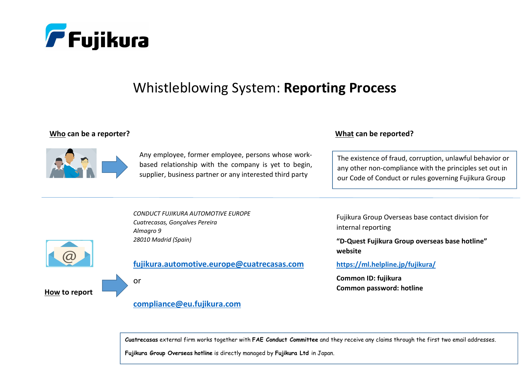

## Whistleblowing System: Reporting Process

## Who can be a reporter?



Any employee, former employee, persons whose workbased relationship with the company is yet to begin, supplier, business partner or any interested third party

## What can be reported?

The existence of fraud, corruption, unlawful behavior or any other non-compliance with the principles set out in our Code of Conduct or rules governing Fujikura Group

CONDUCT FUJIKURA AUTOMOTIVE EUROPE Cuatrecasas, Gonçalves Pereira Almagro 9 28010 Madrid (Spain)



<u>How</u> to report

fujikura.automotive.europe@cuatrecasas.com

or

## compliance@eu.fujikura.com

Fujikura Group Overseas base contact division for internal reporting

"D-Quest Fujikura Group overseas base hotline" website

https://ml.helpline.jp/fujikura/

Common ID: fujikura Common password: hotline

 $\bm c$ uatrecasas external firm works together with <code>FAE Conduct Committee</code> and they receive any claims through the first two email addresses.

Fujikura Group Overseas hotline is directly managed by Fujikura Ltd in Japan.